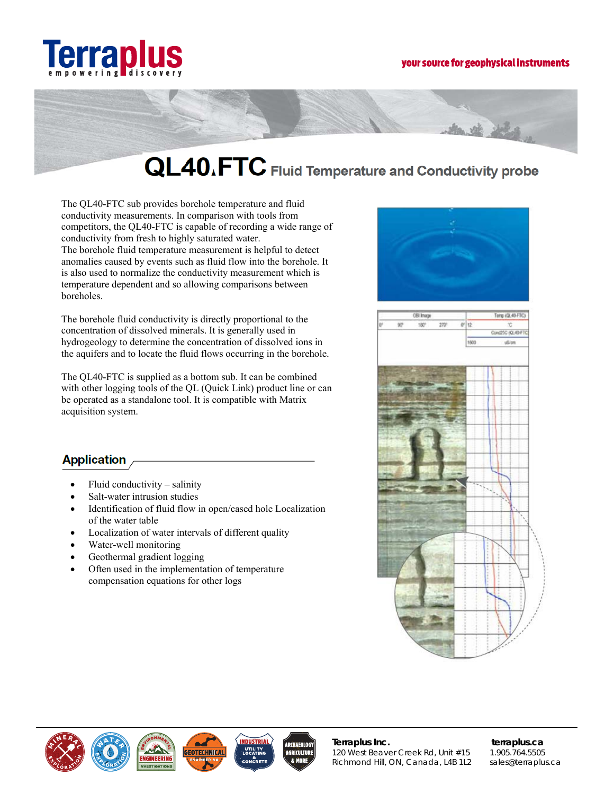



# QL40.FTC Fluid Temperature and Conductivity probe

The OL40-FTC sub provides borehole temperature and fluid conductivity measurements. In comparison with tools from competitors, the QL40-FTC is capable of recording a wide range of conductivity from fresh to highly saturated water. The borehole fluid temperature measurement is helpful to detect anomalies caused by events such as fluid flow into the borehole. It is also used to normalize the conductivity measurement which is temperature dependent and so allowing comparisons between boreholes.

The borehole fluid conductivity is directly proportional to the concentration of dissolved minerals. It is generally used in hydrogeology to determine the concentration of dissolved ions in the aquifers and to locate the fluid flows occurring in the borehole.

The QL40-FTC is supplied as a bottom sub. It can be combined with other logging tools of the QL (Quick Link) product line or can be operated as a standalone tool. It is compatible with Matrix acquisition system.

# **Application**

- Fluid conductivity  $-$  salinity
- Salt-water intrusion studies
- Identification of fluid flow in open/cased hole Localization of the water table
- Localization of water intervals of different quality
- Water-well monitoring
- Geothermal gradient logging
- Often used in the implementation of temperature compensation equations for other logs







Terraplus Inc. 120 West Beaver Creek Rd, Unit #15 Richmond Hill, ON, Canada, L4B 1L2

terraplus.ca 1.905.764.5505 sales@terraplus.ca